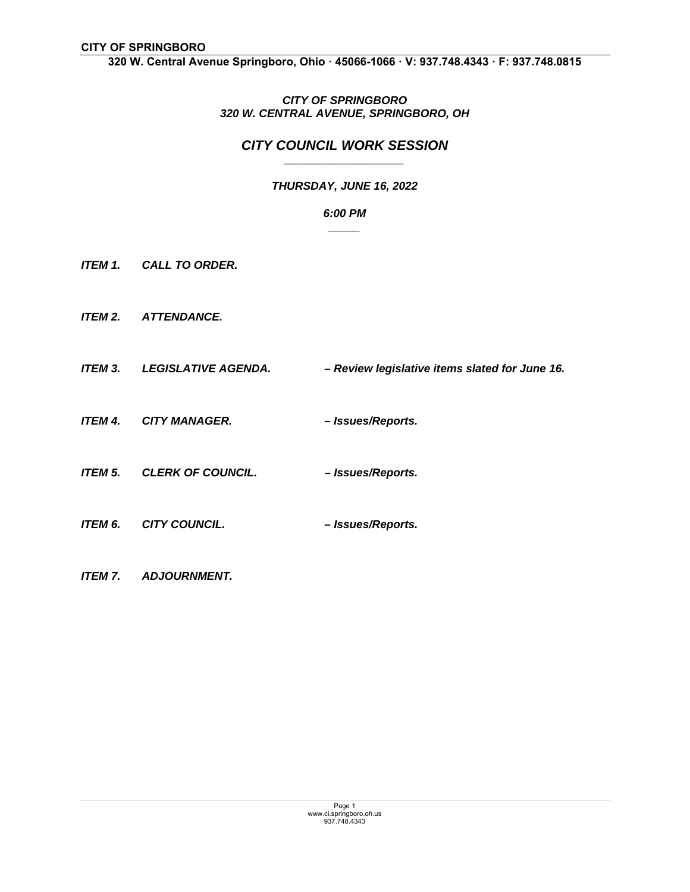**320 W. Central Avenue Springboro, Ohio ꞏ 45066-1066 ꞏ V: 937.748.4343 ꞏ F: 937.748.0815** 

## *CITY OF SPRINGBORO 320 W. CENTRAL AVENUE, SPRINGBORO, OH*

## *CITY COUNCIL WORK SESSION \_\_\_\_\_\_\_\_\_\_\_\_\_\_\_\_\_\_\_*

# *THURSDAY, JUNE 16, 2022*

#### *6:00 PM \_\_\_\_\_*

- *ITEM 1. CALL TO ORDER.*
- *ITEM 2. ATTENDANCE.*
- *ITEM 3. LEGISLATIVE AGENDA. Review legislative items slated for June 16.*
- *ITEM 4. CITY MANAGER. Issues/Reports.*
- *ITEM 5. CLERK OF COUNCIL. Issues/Reports.*
- *ITEM 6. CITY COUNCIL. Issues/Reports.*
- *ITEM 7. ADJOURNMENT.*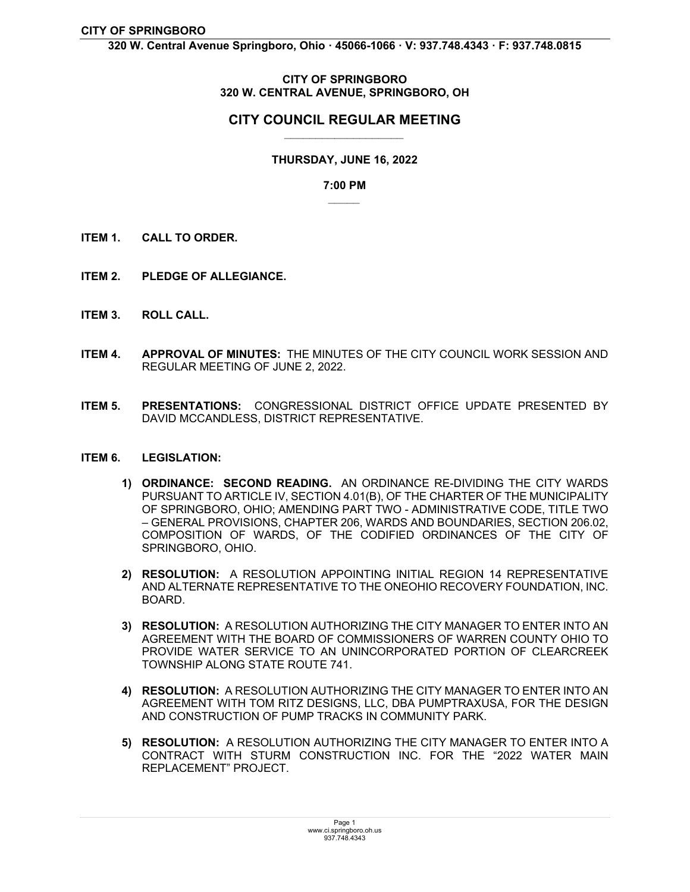**320 W. Central Avenue Springboro, Ohio ꞏ 45066-1066 ꞏ V: 937.748.4343 ꞏ F: 937.748.0815** 

### **CITY OF SPRINGBORO 320 W. CENTRAL AVENUE, SPRINGBORO, OH**

## **CITY COUNCIL REGULAR MEETING** *\_\_\_\_\_\_\_\_\_\_\_\_\_\_\_\_\_\_\_*

## **THURSDAY, JUNE 16, 2022**

#### **7:00 PM**  *\_\_\_\_\_*

- **ITEM 1. CALL TO ORDER.**
- **ITEM 2. PLEDGE OF ALLEGIANCE.**
- **ITEM 3. ROLL CALL.**
- **ITEM 4. APPROVAL OF MINUTES:** THE MINUTES OF THE CITY COUNCIL WORK SESSION AND REGULAR MEETING OF JUNE 2, 2022.
- **ITEM 5. PRESENTATIONS:** CONGRESSIONAL DISTRICT OFFICE UPDATE PRESENTED BY DAVID MCCANDLESS, DISTRICT REPRESENTATIVE.

#### **ITEM 6. LEGISLATION:**

- **1) ORDINANCE: SECOND READING.** AN ORDINANCE RE-DIVIDING THE CITY WARDS PURSUANT TO ARTICLE IV, SECTION 4.01(B), OF THE CHARTER OF THE MUNICIPALITY OF SPRINGBORO, OHIO; AMENDING PART TWO - ADMINISTRATIVE CODE, TITLE TWO – GENERAL PROVISIONS, CHAPTER 206, WARDS AND BOUNDARIES, SECTION 206.02, COMPOSITION OF WARDS, OF THE CODIFIED ORDINANCES OF THE CITY OF SPRINGBORO, OHIO.
- **2) RESOLUTION:** A RESOLUTION APPOINTING INITIAL REGION 14 REPRESENTATIVE AND ALTERNATE REPRESENTATIVE TO THE ONEOHIO RECOVERY FOUNDATION, INC. BOARD.
- **3) RESOLUTION:** A RESOLUTION AUTHORIZING THE CITY MANAGER TO ENTER INTO AN AGREEMENT WITH THE BOARD OF COMMISSIONERS OF WARREN COUNTY OHIO TO PROVIDE WATER SERVICE TO AN UNINCORPORATED PORTION OF CLEARCREEK TOWNSHIP ALONG STATE ROUTE 741.
- **4) RESOLUTION:** A RESOLUTION AUTHORIZING THE CITY MANAGER TO ENTER INTO AN AGREEMENT WITH TOM RITZ DESIGNS, LLC, DBA PUMPTRAXUSA, FOR THE DESIGN AND CONSTRUCTION OF PUMP TRACKS IN COMMUNITY PARK.
- **5) RESOLUTION:** A RESOLUTION AUTHORIZING THE CITY MANAGER TO ENTER INTO A CONTRACT WITH STURM CONSTRUCTION INC. FOR THE "2022 WATER MAIN REPLACEMENT" PROJECT.